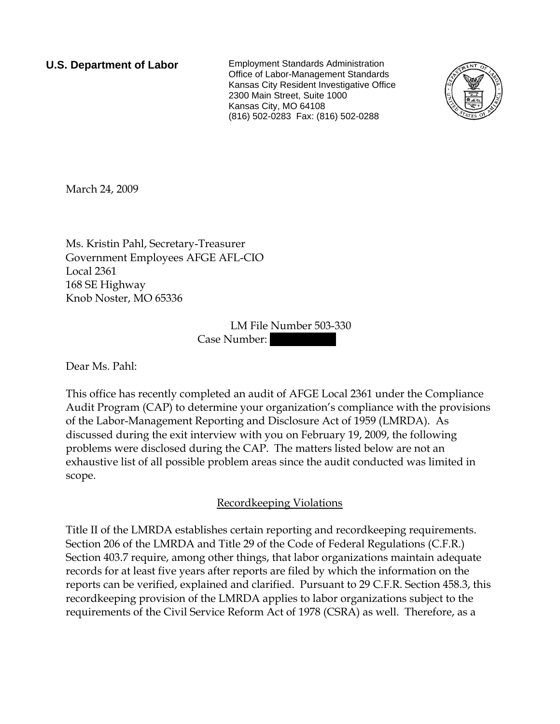**U.S. Department of Labor** Employment Standards Administration Office of Labor-Management Standards Kansas City Resident Investigative Office 2300 Main Street, Suite 1000 Kansas City, MO 64108 (816) 502-0283 Fax: (816) 502-0288



March 24, 2009

Ms. Kristin Pahl, Secretary-Treasurer Government Employees AFGE AFL-CIO Local 2361 168 SE Highway Knob Noster, MO 65336

> LM File Number 503-330 Case Number:

Dear Ms. Pahl:

This office has recently completed an audit of AFGE Local 2361 under the Compliance Audit Program (CAP) to determine your organization's compliance with the provisions of the Labor-Management Reporting and Disclosure Act of 1959 (LMRDA). As discussed during the exit interview with you on February 19, 2009, the following problems were disclosed during the CAP. The matters listed below are not an exhaustive list of all possible problem areas since the audit conducted was limited in scope.

## Recordkeeping Violations

Title II of the LMRDA establishes certain reporting and recordkeeping requirements. Section 206 of the LMRDA and Title 29 of the Code of Federal Regulations (C.F.R.) Section 403.7 require, among other things, that labor organizations maintain adequate records for at least five years after reports are filed by which the information on the reports can be verified, explained and clarified. Pursuant to 29 C.F.R. Section 458.3, this recordkeeping provision of the LMRDA applies to labor organizations subject to the requirements of the Civil Service Reform Act of 1978 (CSRA) as well. Therefore, as a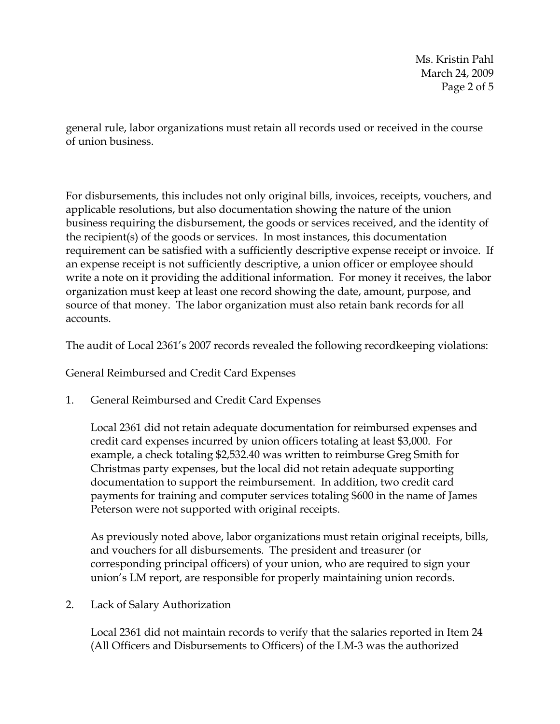Ms. Kristin Pahl March 24, 2009 Page 2 of 5

general rule, labor organizations must retain all records used or received in the course of union business.

For disbursements, this includes not only original bills, invoices, receipts, vouchers, and applicable resolutions, but also documentation showing the nature of the union business requiring the disbursement, the goods or services received, and the identity of the recipient(s) of the goods or services. In most instances, this documentation requirement can be satisfied with a sufficiently descriptive expense receipt or invoice. If an expense receipt is not sufficiently descriptive, a union officer or employee should write a note on it providing the additional information. For money it receives, the labor organization must keep at least one record showing the date, amount, purpose, and source of that money. The labor organization must also retain bank records for all accounts.

The audit of Local 2361's 2007 records revealed the following recordkeeping violations:

General Reimbursed and Credit Card Expenses

1. General Reimbursed and Credit Card Expenses

Local 2361 did not retain adequate documentation for reimbursed expenses and credit card expenses incurred by union officers totaling at least \$3,000. For example, a check totaling \$2,532.40 was written to reimburse Greg Smith for Christmas party expenses, but the local did not retain adequate supporting documentation to support the reimbursement. In addition, two credit card payments for training and computer services totaling \$600 in the name of James Peterson were not supported with original receipts.

As previously noted above, labor organizations must retain original receipts, bills, and vouchers for all disbursements. The president and treasurer (or corresponding principal officers) of your union, who are required to sign your union's LM report, are responsible for properly maintaining union records.

2. Lack of Salary Authorization

Local 2361 did not maintain records to verify that the salaries reported in Item 24 (All Officers and Disbursements to Officers) of the LM-3 was the authorized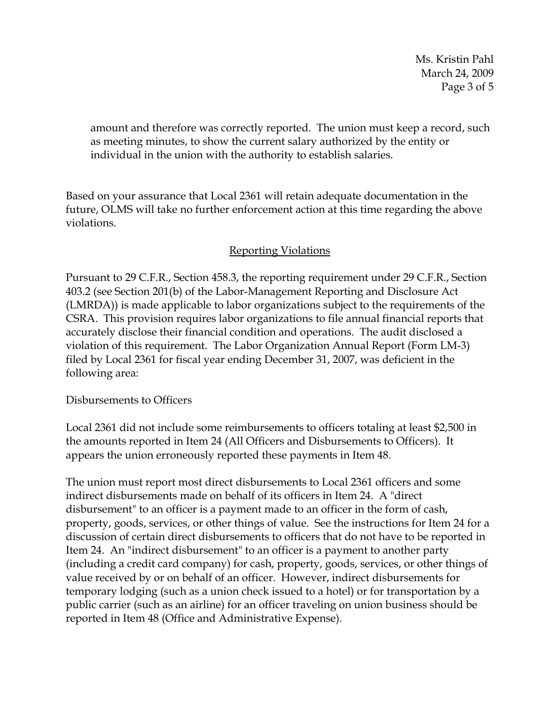Ms. Kristin Pahl March 24, 2009 Page 3 of 5

amount and therefore was correctly reported. The union must keep a record, such as meeting minutes, to show the current salary authorized by the entity or individual in the union with the authority to establish salaries.

Based on your assurance that Local 2361 will retain adequate documentation in the future, OLMS will take no further enforcement action at this time regarding the above violations.

## Reporting Violations

Pursuant to 29 C.F.R., Section 458.3, the reporting requirement under 29 C.F.R., Section 403.2 (see Section 201(b) of the Labor-Management Reporting and Disclosure Act (LMRDA)) is made applicable to labor organizations subject to the requirements of the CSRA. This provision requires labor organizations to file annual financial reports that accurately disclose their financial condition and operations. The audit disclosed a violation of this requirement. The Labor Organization Annual Report (Form LM-3) filed by Local 2361 for fiscal year ending December 31, 2007, was deficient in the following area:

## Disbursements to Officers

Local 2361 did not include some reimbursements to officers totaling at least \$2,500 in the amounts reported in Item 24 (All Officers and Disbursements to Officers). It appears the union erroneously reported these payments in Item 48.

The union must report most direct disbursements to Local 2361 officers and some indirect disbursements made on behalf of its officers in Item 24. A "direct disbursement" to an officer is a payment made to an officer in the form of cash, property, goods, services, or other things of value. See the instructions for Item 24 for a discussion of certain direct disbursements to officers that do not have to be reported in Item 24. An "indirect disbursement" to an officer is a payment to another party (including a credit card company) for cash, property, goods, services, or other things of value received by or on behalf of an officer. However, indirect disbursements for temporary lodging (such as a union check issued to a hotel) or for transportation by a public carrier (such as an airline) for an officer traveling on union business should be reported in Item 48 (Office and Administrative Expense).